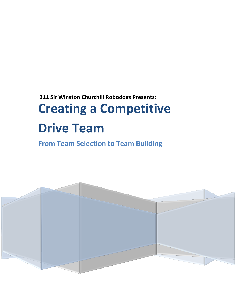## **211 Sir Winston Churchill Robodogs Presents: Creating a Competitive Drive Team**

**From Team Selection to Team Building**

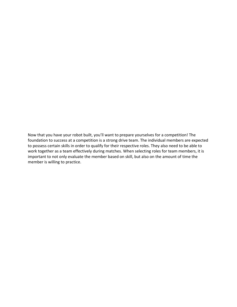Now that you have your robot built, you'll want to prepare yourselves for a competition! The foundation to success at a competition is a strong drive team. The individual members are expected to possess certain skills in order to qualify for their respective roles. They also need to be able to work together as a team effectively during matches. When selecting roles for team members, it is important to not only evaluate the member based on skill, but also on the amount of time the member is willing to practice.